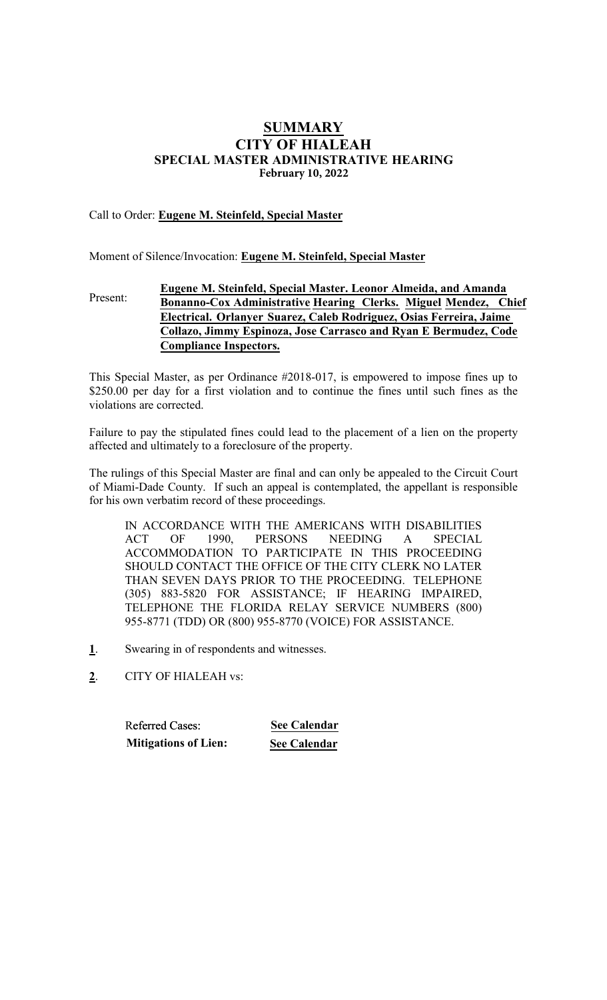# **SUMMARY** CITY OF HIALEAH SPECIAL MASTER ADMINISTRATIVE HEARING **February 10, 2022**

# Call to Order: Eugene M. Steinfeld, Special Master

Moment of Silence/Invocation: Eugene M. Steinfeld, Special Master

#### Present: Eugene M. Steinfeld, Special Master. Leonor **Almeida**, **and Amanda Bonanno-Cox** Administrative Hearing Clerk**s**. Miguel Mendez, Chief Electrical. Orlanyer Suarez, **Caleb Rodriguez, Osias Ferreira, Jaime Collazo, Jimmy Espinoza, Jose Carrasco and Ryan E Bermudez, Code Compliance Inspectors.**

This Special Master, as per Ordinance #2018-017, is empowered to impose fines up to \$250.00 per day for a first violation and to continue the fines until such fines as the violations are corrected.

Failure to pay the stipulated fines could lead to the placement of a lien on the property affected and ultimately to a foreclosure of the property.

The rulings of this Special Master are final and can only be appealed to the Circuit Court of Miami-Dade County. If such an appeal is contemplated, the appellant is responsible for his own verbatim record of these proceedings.

IN ACCORDANCE WITH THE AMERICANS WITH DISABILITIES ACT OF 1990, PERSONS NEEDING A SPECIAL ACCOMMODATION TO PARTICIPATE IN THIS PROCEEDING SHOULD CONTACT THE OFFICE OF THE CITY CLERK NO LATER THAN SEVEN DAYS PRIOR TO THE PROCEEDING. TELEPHONE (305) 883-5820 FOR ASSISTANCE; IF HEARING IMPAIRED, TELEPHONE THE FLORIDA RELAY SERVICE NUMBERS (800) 955-8771 (TDD) OR (800) 955-8770 (VOICE) FOR ASSISTANCE.

- 1. Swearing in of respondents and witnesses.
- 2. CITY OF HIALEAH vs:

Referred Cases: **See Calendar Mitigations of Lien: See Calendar**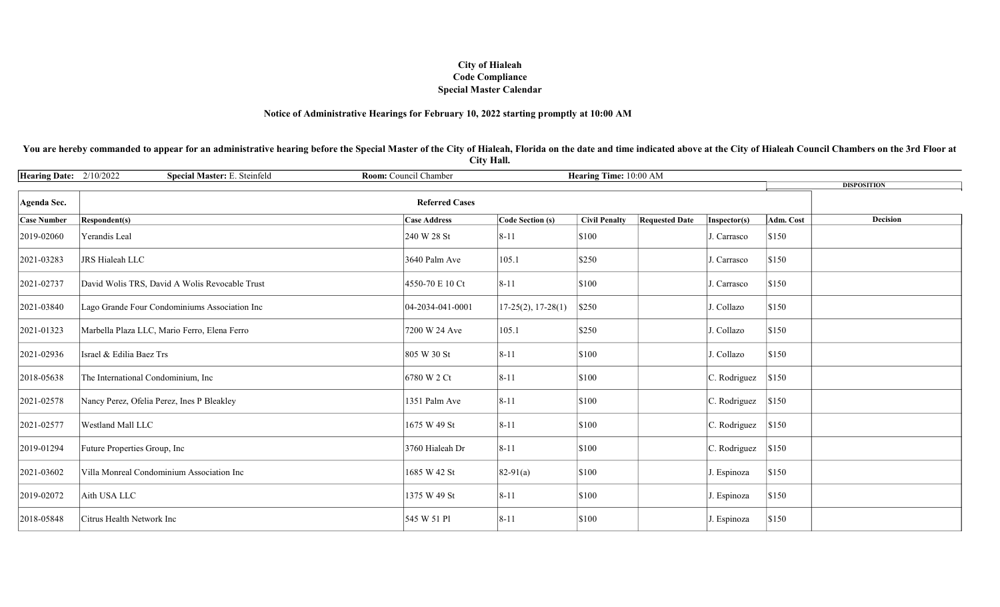## City of Hialeah Special Master Calendar Code Compliance

### Notice of Administrative Hearings for February 10, 2022 starting promptly at 10:00 AM

#### You are hereby commanded to appear for an administrative hearing before the Special Master of the City of Hialeah, Florida on the date and time indicated above at the City of Hialeah Council Chambers on the 3rd Floor at City Hall.

| Hearing Date: 2/10/2022 | Special Master: E. Steinfeld                   | Room: Council Chamber |                      | Hearing Time: 10:00 AM |                       |              |                              |
|-------------------------|------------------------------------------------|-----------------------|----------------------|------------------------|-----------------------|--------------|------------------------------|
|                         |                                                |                       |                      |                        |                       |              | <b>DISPOSITION</b>           |
| <b>Agenda Sec.</b>      |                                                | <b>Referred Cases</b> |                      |                        |                       |              |                              |
| <b>Case Number</b>      | <b>Respondent(s)</b>                           | <b>Case Address</b>   | Code Section (s)     | <b>Civil Penalty</b>   | <b>Requested Date</b> | Inspector(s) | <b>Decision</b><br>Adm. Cost |
| 2019-02060              | Yerandis Leal                                  | 240 W 28 St           | $8 - 11$             | \$100                  |                       | J. Carrasco  | \$150                        |
| 2021-03283              | JRS Hialeah LLC                                | 3640 Palm Ave         | 105.1                | \$250                  |                       | J. Carrasco  | \$150                        |
| 2021-02737              | David Wolis TRS, David A Wolis Revocable Trust | 4550-70 E 10 Ct       | $8 - 11$             | \$100                  |                       | J. Carrasco  | \$150                        |
| 2021-03840              | Lago Grande Four Condominiums Association Inc  | 04-2034-041-0001      | $17-25(2), 17-28(1)$ | \$250                  |                       | J. Collazo   | \$150                        |
| 2021-01323              | Marbella Plaza LLC, Mario Ferro, Elena Ferro   | 7200 W 24 Ave         | 105.1                | \$250                  |                       | J. Collazo   | \$150                        |
| 2021-02936              | Israel & Edilia Baez Trs                       | 805 W 30 St           | $8 - 11$             | \$100                  |                       | J. Collazo   | \$150                        |
| 2018-05638              | The International Condominium, Inc             | 6780 W 2 Ct           | $8 - 11$             | \$100                  |                       | C. Rodriguez | \$150                        |
| 2021-02578              | Nancy Perez, Ofelia Perez, Ines P Bleakley     | 1351 Palm Ave         | $8 - 11$             | \$100                  |                       | C. Rodriguez | \$150                        |
| 2021-02577              | Westland Mall LLC                              | 1675 W 49 St          | $8 - 11$             | \$100                  |                       | C. Rodriguez | \$150                        |
| 2019-01294              | Future Properties Group, Inc                   | 3760 Hialeah Dr       | $8 - 11$             | \$100                  |                       | C. Rodriguez | \$150                        |
| 2021-03602              | Villa Monreal Condominium Association Inc      | 1685 W 42 St          | $82-91(a)$           | \$100                  |                       | J. Espinoza  | \$150                        |
| 2019-02072              | Aith USA LLC                                   | 1375 W 49 St          | $8 - 11$             | \$100                  |                       | J. Espinoza  | \$150                        |
| 2018-05848              | Citrus Health Network Inc                      | 545 W 51 Pl           | $8 - 11$             | \$100                  |                       | J. Espinoza  | \$150                        |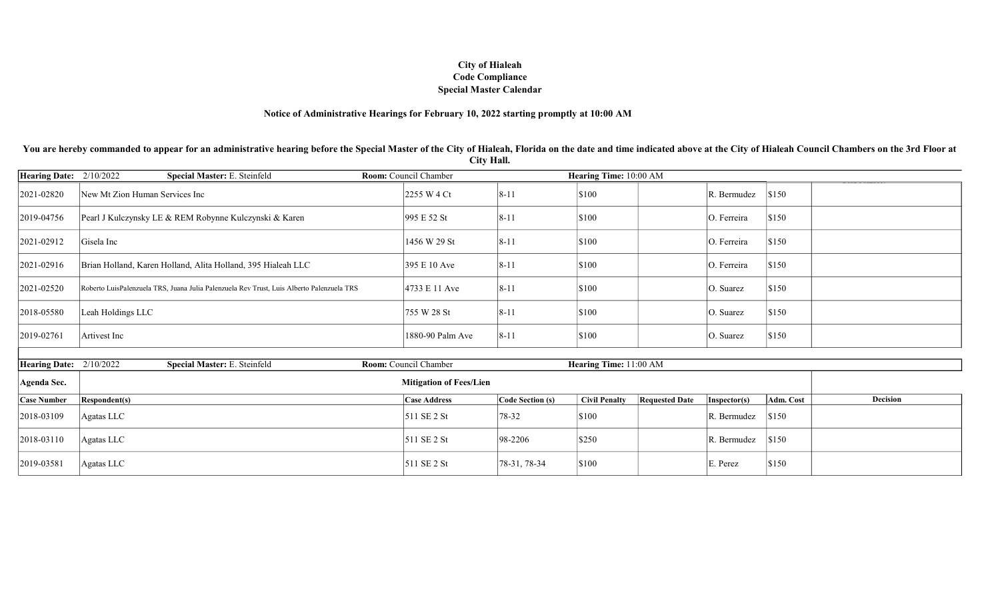## City of Hialeah Special Master Calendar Code Compliance

## Notice of Administrative Hearings for February 10, 2022 starting promptly at 10:00 AM

You are hereby commanded to appear for an administrative hearing before the Special Master of the City of Hialeah, Florida on the date and time indicated above at the City of Hialeah Council Chambers on the 3rd Floor at City Hall.

| <b>Hearing Date:</b> | 2/10/2022<br>Special Master: E. Steinfeld                                                 | Room: Council Chamber          |                         | Hearing Time: 10:00 AM |                       |              |           |          |
|----------------------|-------------------------------------------------------------------------------------------|--------------------------------|-------------------------|------------------------|-----------------------|--------------|-----------|----------|
| 2021-02820           | New Mt Zion Human Services Inc                                                            | 2255 W 4 Ct                    | $8 - 11$                | \$100                  |                       | R. Bermudez  | \$150     |          |
| 2019-04756           | Pearl J Kulczynsky LE & REM Robynne Kulczynski & Karen                                    | 995 E 52 St                    | $8 - 11$                | \$100                  |                       | O. Ferreira  | \$150     |          |
| 2021-02912           | Gisela Inc                                                                                | 1456 W 29 St                   | $8 - 11$                | \$100                  |                       | O. Ferreira  | \$150     |          |
| 2021-02916           | Brian Holland, Karen Holland, Alita Holland, 395 Hialeah LLC                              | 395 E 10 Ave                   | $8 - 11$                | \$100                  |                       | O. Ferreira  | \$150     |          |
| 2021-02520           | Roberto LuisPalenzuela TRS, Juana Julia Palenzuela Rev Trust, Luis Alberto Palenzuela TRS | 4733 E 11 Ave                  | $8 - 11$                | \$100                  |                       | O. Suarez    | \$150     |          |
| 2018-05580           | Leah Holdings LLC                                                                         | 755 W 28 St                    | $8 - 11$                | \$100                  |                       | O. Suarez    | \$150     |          |
| 2019-02761           | Artivest Inc                                                                              | 1880-90 Palm Ave               | $8 - 11$                | \$100                  |                       | O. Suarez    | \$150     |          |
|                      |                                                                                           |                                |                         |                        |                       |              |           |          |
| <b>Hearing Date:</b> | Special Master: E. Steinfeld<br>2/10/2022                                                 | Room: Council Chamber          |                         | Hearing Time: 11:00 AM |                       |              |           |          |
| Agenda Sec.          |                                                                                           | <b>Mitigation of Fees/Lien</b> |                         |                        |                       |              |           |          |
| <b>Case Number</b>   | <b>Respondent(s)</b>                                                                      | <b>Case Address</b>            | <b>Code Section (s)</b> | <b>Civil Penalty</b>   | <b>Requested Date</b> | Inspector(s) | Adm. Cost | Decision |
| 2018-03109           | Agatas LLC                                                                                | 511 SE 2 St                    | 78-32                   | \$100                  |                       | R. Bermudez  | \$150     |          |
| 2018-03110           | Agatas LLC                                                                                | 511 SE 2 St                    | 98-2206                 | \$250                  |                       | R. Bermudez  | \$150     |          |
| 2019-03581           | Agatas LLC                                                                                | 511 SE 2 St                    | 78-31, 78-34            | \$100                  |                       | E. Perez     | \$150     |          |